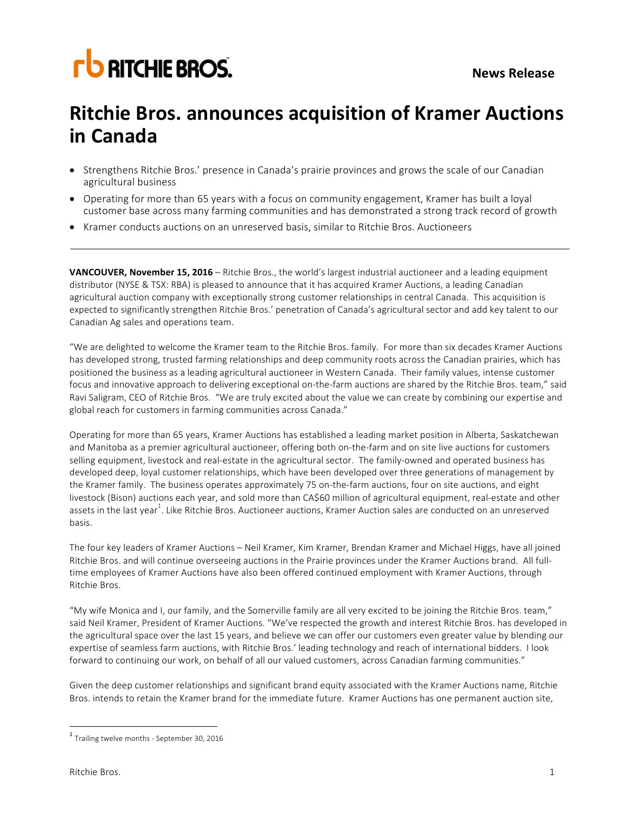## **FU RITCHIE BROS.**

### **Ritchie Bros. announces acquisition of Kramer Auctions in Canada**

- Strengthens Ritchie Bros.' presence in Canada's prairie provinces and grows the scale of our Canadian agricultural business
- Operating for more than 65 years with a focus on community engagement, Kramer has built a loyal customer base across many farming communities and has demonstrated a strong track record of growth
- Kramer conducts auctions on an unreserved basis, similar to Ritchie Bros. Auctioneers

**VANCOUVER, November 15, 2016** – Ritchie Bros., the world's largest industrial auctioneer and a leading equipment distributor (NYSE & TSX: RBA) is pleased to announce that it has acquired Kramer Auctions, a leading Canadian agricultural auction company with exceptionally strong customer relationships in central Canada. This acquisition is expected to significantly strengthen Ritchie Bros.' penetration of Canada's agricultural sector and add key talent to our Canadian Ag sales and operations team.

"We are delighted to welcome the Kramer team to the Ritchie Bros. family. For more than six decades Kramer Auctions has developed strong, trusted farming relationships and deep community roots across the Canadian prairies, which has positioned the business as a leading agricultural auctioneer in Western Canada. Their family values, intense customer focus and innovative approach to delivering exceptional on-the-farm auctions are shared by the Ritchie Bros. team," said Ravi Saligram, CEO of Ritchie Bros. "We are truly excited about the value we can create by combining our expertise and global reach for customers in farming communities across Canada."

Operating for more than 65 years, Kramer Auctions has established a leading market position in Alberta, Saskatchewan and Manitoba as a premier agricultural auctioneer, offering both on-the-farm and on site live auctions for customers selling equipment, livestock and real-estate in the agricultural sector. The family-owned and operated business has developed deep, loyal customer relationships, which have been developed over three generations of management by the Kramer family. The business operates approximately 75 on-the-farm auctions, four on site auctions, and eight livestock (Bison) auctions each year, and sold more than CA\$60 million of agricultural equipment, real-estate and other assets in the last year<sup>1</sup>. Like Ritchie Bros. Auctioneer auctions, Kramer Auction sales are conducted on an unreserved basis.

The four key leaders of Kramer Auctions - Neil Kramer, Kim Kramer, Brendan Kramer and Michael Higgs, have all joined Ritchie Bros. and will continue overseeing auctions in the Prairie provinces under the Kramer Auctions brand. All fulltime employees of Kramer Auctions have also been offered continued employment with Kramer Auctions, through Ritchie Bros.

"My wife Monica and I, our family, and the Somerville family are all very excited to be joining the Ritchie Bros. team," said Neil Kramer, President of Kramer Auctions. "We've respected the growth and interest Ritchie Bros. has developed in the agricultural space over the last 15 years, and believe we can offer our customers even greater value by blending our expertise of seamless farm auctions, with Ritchie Bros.' leading technology and reach of international bidders. I look forward to continuing our work, on behalf of all our valued customers, across Canadian farming communities."

Given the deep customer relationships and significant brand equity associated with the Kramer Auctions name, Ritchie Bros. intends to retain the Kramer brand for the immediate future. Kramer Auctions has one permanent auction site,

 $1$  Trailing twelve months - September 30, 2016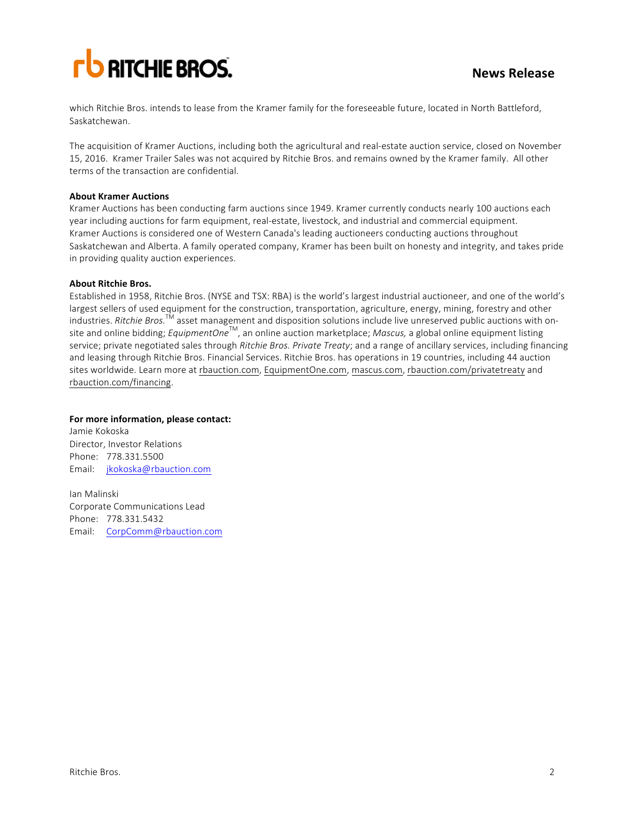# **FU RITCHIE BROS.**

which Ritchie Bros. intends to lease from the Kramer family for the foreseeable future, located in North Battleford, Saskatchewan. 

The acquisition of Kramer Auctions, including both the agricultural and real-estate auction service, closed on November 15, 2016. Kramer Trailer Sales was not acquired by Ritchie Bros. and remains owned by the Kramer family. All other terms of the transaction are confidential.

#### **About Kramer Auctions**

Kramer Auctions has been conducting farm auctions since 1949. Kramer currently conducts nearly 100 auctions each year including auctions for farm equipment, real-estate, livestock, and industrial and commercial equipment. Kramer Auctions is considered one of Western Canada's leading auctioneers conducting auctions throughout Saskatchewan and Alberta. A family operated company, Kramer has been built on honesty and integrity, and takes pride in providing quality auction experiences.

#### **About Ritchie Bros.**

Established in 1958, Ritchie Bros. (NYSE and TSX: RBA) is the world's largest industrial auctioneer, and one of the world's largest sellers of used equipment for the construction, transportation, agriculture, energy, mining, forestry and other industries. *Ritchie Bros.*<sup>TM</sup> asset management and disposition solutions include live unreserved public auctions with onsite and online bidding; *EquipmentOne*<sup>TM</sup>, an online auction marketplace; *Mascus*, a global online equipment listing service; private negotiated sales through *Ritchie Bros. Private Treaty*; and a range of ancillary services, including financing and leasing through Ritchie Bros. Financial Services. Ritchie Bros. has operations in 19 countries, including 44 auction sites worldwide. Learn more at rbauction.com, EquipmentOne.com, mascus.com, rbauction.com/privatetreaty and rbauction.com/financing.

#### For more information, please contact:

Jamie Kokoska Director, Investor Relations Phone: 778.331.5500 Email: jkokoska@rbauction.com

Ian Malinski Corporate Communications Lead Phone: 778.331.5432 Email: CorpComm@rbauction.com